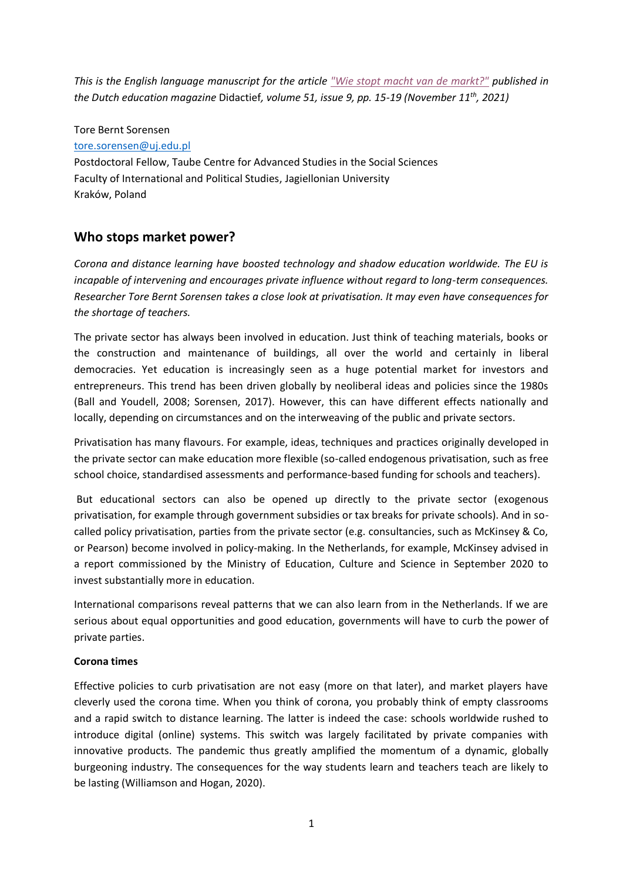*This is the English language manuscript for the article ["Wie stopt macht van de markt?"](https://didactiefonline.nl/artikel/wie-stopt-macht-van-de-markt) published in the Dutch education magazine* Didactief*, volume 51, issue 9, pp. 15-19 (November 11th , 2021)*

## Tore Bernt Sorensen

## [tore.sorensen@uj.edu.pl](mailto:tore.sorensen@uj.edu.pl)

Postdoctoral Fellow, Taube Centre for Advanced Studies in the Social Sciences Faculty of International and Political Studies, Jagiellonian University Kraków, Poland

# **Who stops market power?**

*Corona and distance learning have boosted technology and shadow education worldwide. The EU is incapable of intervening and encourages private influence without regard to long-term consequences. Researcher Tore Bernt Sorensen takes a close look at privatisation. It may even have consequences for the shortage of teachers.*

The private sector has always been involved in education. Just think of teaching materials, books or the construction and maintenance of buildings, all over the world and certainly in liberal democracies. Yet education is increasingly seen as a huge potential market for investors and entrepreneurs. This trend has been driven globally by neoliberal ideas and policies since the 1980s (Ball and Youdell, 2008; Sorensen, 2017). However, this can have different effects nationally and locally, depending on circumstances and on the interweaving of the public and private sectors.

Privatisation has many flavours. For example, ideas, techniques and practices originally developed in the private sector can make education more flexible (so-called endogenous privatisation, such as free school choice, standardised assessments and performance-based funding for schools and teachers).

But educational sectors can also be opened up directly to the private sector (exogenous privatisation, for example through government subsidies or tax breaks for private schools). And in socalled policy privatisation, parties from the private sector (e.g. consultancies, such as McKinsey & Co, or Pearson) become involved in policy-making. In the Netherlands, for example, McKinsey advised in a report commissioned by the Ministry of Education, Culture and Science in September 2020 to invest substantially more in education.

International comparisons reveal patterns that we can also learn from in the Netherlands. If we are serious about equal opportunities and good education, governments will have to curb the power of private parties.

# **Corona times**

Effective policies to curb privatisation are not easy (more on that later), and market players have cleverly used the corona time. When you think of corona, you probably think of empty classrooms and a rapid switch to distance learning. The latter is indeed the case: schools worldwide rushed to introduce digital (online) systems. This switch was largely facilitated by private companies with innovative products. The pandemic thus greatly amplified the momentum of a dynamic, globally burgeoning industry. The consequences for the way students learn and teachers teach are likely to be lasting (Williamson and Hogan, 2020).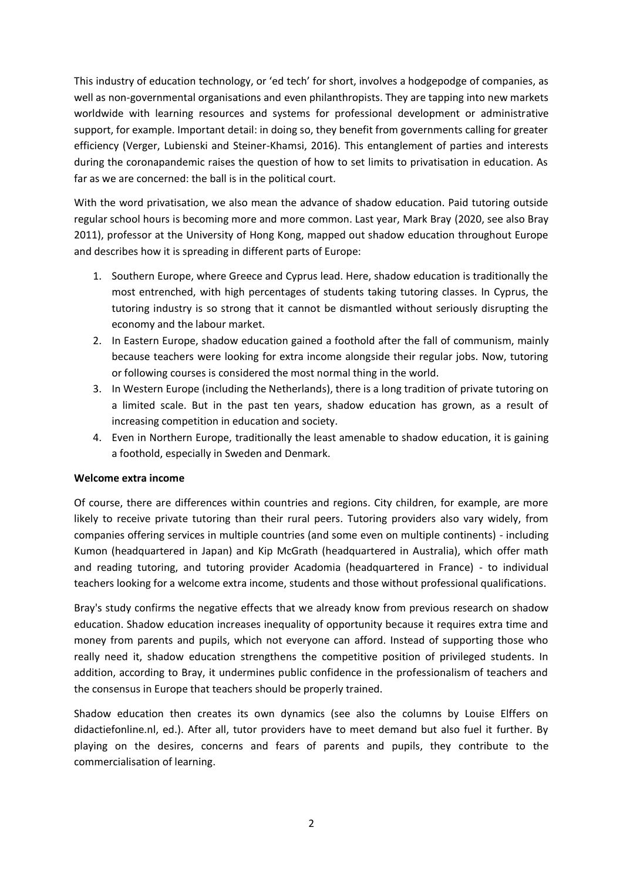This industry of education technology, or 'ed tech' for short, involves a hodgepodge of companies, as well as non-governmental organisations and even philanthropists. They are tapping into new markets worldwide with learning resources and systems for professional development or administrative support, for example. Important detail: in doing so, they benefit from governments calling for greater efficiency (Verger, Lubienski and Steiner-Khamsi, 2016). This entanglement of parties and interests during the coronapandemic raises the question of how to set limits to privatisation in education. As far as we are concerned: the ball is in the political court.

With the word privatisation, we also mean the advance of shadow education. Paid tutoring outside regular school hours is becoming more and more common. Last year, Mark Bray (2020, see also Bray 2011), professor at the University of Hong Kong, mapped out shadow education throughout Europe and describes how it is spreading in different parts of Europe:

- 1. Southern Europe, where Greece and Cyprus lead. Here, shadow education is traditionally the most entrenched, with high percentages of students taking tutoring classes. In Cyprus, the tutoring industry is so strong that it cannot be dismantled without seriously disrupting the economy and the labour market.
- 2. In Eastern Europe, shadow education gained a foothold after the fall of communism, mainly because teachers were looking for extra income alongside their regular jobs. Now, tutoring or following courses is considered the most normal thing in the world.
- 3. In Western Europe (including the Netherlands), there is a long tradition of private tutoring on a limited scale. But in the past ten years, shadow education has grown, as a result of increasing competition in education and society.
- 4. Even in Northern Europe, traditionally the least amenable to shadow education, it is gaining a foothold, especially in Sweden and Denmark.

# **Welcome extra income**

Of course, there are differences within countries and regions. City children, for example, are more likely to receive private tutoring than their rural peers. Tutoring providers also vary widely, from companies offering services in multiple countries (and some even on multiple continents) - including Kumon (headquartered in Japan) and Kip McGrath (headquartered in Australia), which offer math and reading tutoring, and tutoring provider Acadomia (headquartered in France) - to individual teachers looking for a welcome extra income, students and those without professional qualifications.

Bray's study confirms the negative effects that we already know from previous research on shadow education. Shadow education increases inequality of opportunity because it requires extra time and money from parents and pupils, which not everyone can afford. Instead of supporting those who really need it, shadow education strengthens the competitive position of privileged students. In addition, according to Bray, it undermines public confidence in the professionalism of teachers and the consensus in Europe that teachers should be properly trained.

Shadow education then creates its own dynamics (see also the columns by Louise Elffers on didactiefonline.nl, ed.). After all, tutor providers have to meet demand but also fuel it further. By playing on the desires, concerns and fears of parents and pupils, they contribute to the commercialisation of learning.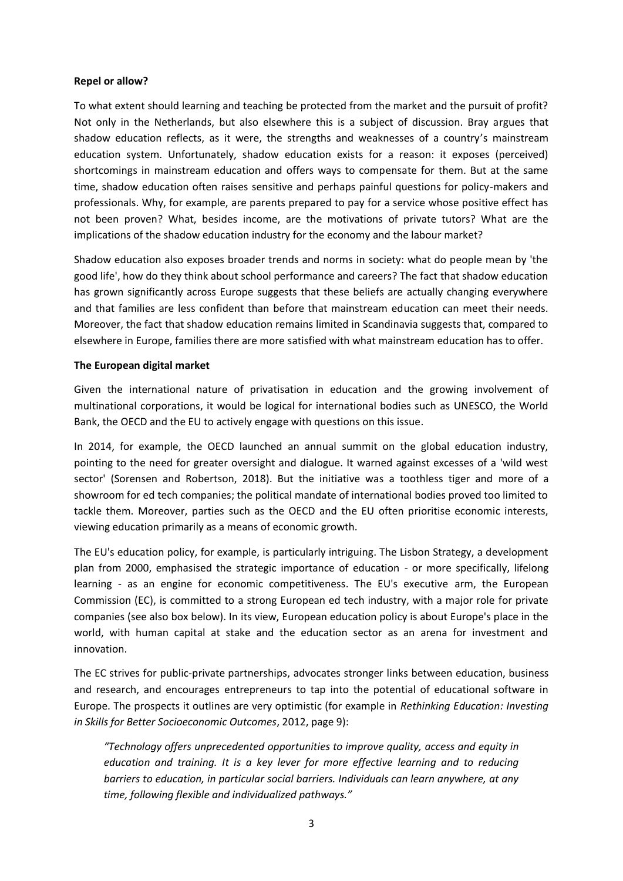# **Repel or allow?**

To what extent should learning and teaching be protected from the market and the pursuit of profit? Not only in the Netherlands, but also elsewhere this is a subject of discussion. Bray argues that shadow education reflects, as it were, the strengths and weaknesses of a country's mainstream education system. Unfortunately, shadow education exists for a reason: it exposes (perceived) shortcomings in mainstream education and offers ways to compensate for them. But at the same time, shadow education often raises sensitive and perhaps painful questions for policy-makers and professionals. Why, for example, are parents prepared to pay for a service whose positive effect has not been proven? What, besides income, are the motivations of private tutors? What are the implications of the shadow education industry for the economy and the labour market?

Shadow education also exposes broader trends and norms in society: what do people mean by 'the good life', how do they think about school performance and careers? The fact that shadow education has grown significantly across Europe suggests that these beliefs are actually changing everywhere and that families are less confident than before that mainstream education can meet their needs. Moreover, the fact that shadow education remains limited in Scandinavia suggests that, compared to elsewhere in Europe, families there are more satisfied with what mainstream education has to offer.

# **The European digital market**

Given the international nature of privatisation in education and the growing involvement of multinational corporations, it would be logical for international bodies such as UNESCO, the World Bank, the OECD and the EU to actively engage with questions on this issue.

In 2014, for example, the OECD launched an annual summit on the global education industry, pointing to the need for greater oversight and dialogue. It warned against excesses of a 'wild west sector' (Sorensen and Robertson, 2018). But the initiative was a toothless tiger and more of a showroom for ed tech companies; the political mandate of international bodies proved too limited to tackle them. Moreover, parties such as the OECD and the EU often prioritise economic interests, viewing education primarily as a means of economic growth.

The EU's education policy, for example, is particularly intriguing. The Lisbon Strategy, a development plan from 2000, emphasised the strategic importance of education - or more specifically, lifelong learning - as an engine for economic competitiveness. The EU's executive arm, the European Commission (EC), is committed to a strong European ed tech industry, with a major role for private companies (see also box below). In its view, European education policy is about Europe's place in the world, with human capital at stake and the education sector as an arena for investment and innovation.

The EC strives for public-private partnerships, advocates stronger links between education, business and research, and encourages entrepreneurs to tap into the potential of educational software in Europe. The prospects it outlines are very optimistic (for example in *Rethinking Education: Investing in Skills for Better Socioeconomic Outcomes*, 2012, page 9):

*"Technology offers unprecedented opportunities to improve quality, access and equity in education and training. It is a key lever for more effective learning and to reducing barriers to education, in particular social barriers. Individuals can learn anywhere, at any time, following flexible and individualized pathways."*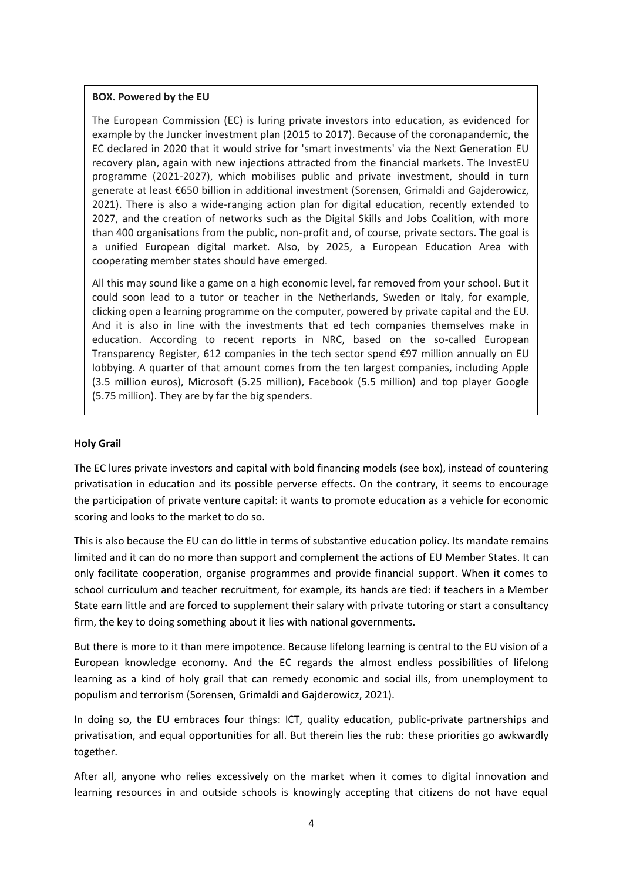#### **BOX. Powered by the EU**

The European Commission (EC) is luring private investors into education, as evidenced for example by the Juncker investment plan (2015 to 2017). Because of the coronapandemic, the EC declared in 2020 that it would strive for 'smart investments' via the Next Generation EU recovery plan, again with new injections attracted from the financial markets. The InvestEU programme (2021-2027), which mobilises public and private investment, should in turn generate at least €650 billion in additional investment (Sorensen, Grimaldi and Gajderowicz, 2021). There is also a wide-ranging action plan for digital education, recently extended to 2027, and the creation of networks such as the Digital Skills and Jobs Coalition, with more than 400 organisations from the public, non-profit and, of course, private sectors. The goal is a unified European digital market. Also, by 2025, a European Education Area with cooperating member states should have emerged.

All this may sound like a game on a high economic level, far removed from your school. But it could soon lead to a tutor or teacher in the Netherlands, Sweden or Italy, for example, clicking open a learning programme on the computer, powered by private capital and the EU. And it is also in line with the investments that ed tech companies themselves make in education. According to recent reports in NRC, based on the so-called European Transparency Register, 612 companies in the tech sector spend €97 million annually on EU lobbying. A quarter of that amount comes from the ten largest companies, including Apple (3.5 million euros), Microsoft (5.25 million), Facebook (5.5 million) and top player Google (5.75 million). They are by far the big spenders.

# **Holy Grail**

The EC lures private investors and capital with bold financing models (see box), instead of countering privatisation in education and its possible perverse effects. On the contrary, it seems to encourage the participation of private venture capital: it wants to promote education as a vehicle for economic scoring and looks to the market to do so.

This is also because the EU can do little in terms of substantive education policy. Its mandate remains limited and it can do no more than support and complement the actions of EU Member States. It can only facilitate cooperation, organise programmes and provide financial support. When it comes to school curriculum and teacher recruitment, for example, its hands are tied: if teachers in a Member State earn little and are forced to supplement their salary with private tutoring or start a consultancy firm, the key to doing something about it lies with national governments.

But there is more to it than mere impotence. Because lifelong learning is central to the EU vision of a European knowledge economy. And the EC regards the almost endless possibilities of lifelong learning as a kind of holy grail that can remedy economic and social ills, from unemployment to populism and terrorism (Sorensen, Grimaldi and Gajderowicz, 2021).

In doing so, the EU embraces four things: ICT, quality education, public-private partnerships and privatisation, and equal opportunities for all. But therein lies the rub: these priorities go awkwardly together.

After all, anyone who relies excessively on the market when it comes to digital innovation and learning resources in and outside schools is knowingly accepting that citizens do not have equal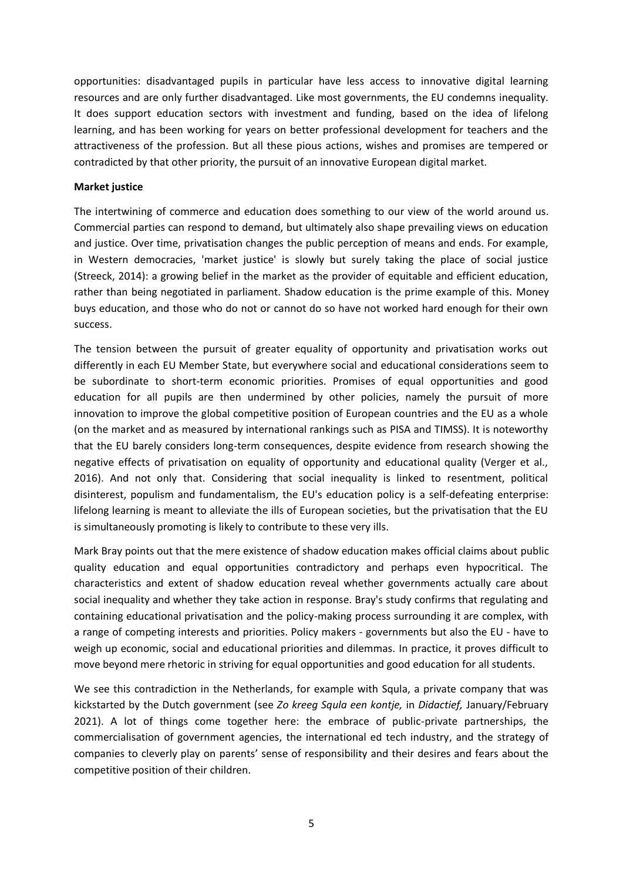opportunities: disadvantaged pupils in particular have less access to innovative digital learning resources and are only further disadvantaged. Like most governments, the EU condemns inequality. It does support education sectors with investment and funding, based on the idea of lifelong learning, and has been working for years on better professional development for teachers and the attractiveness of the profession. But all these pious actions, wishes and promises are tempered or contradicted by that other priority, the pursuit of an innovative European digital market.

#### **Market justice**

The intertwining of commerce and education does something to our view of the world around us. Commercial parties can respond to demand, but ultimately also shape prevailing views on education and justice. Over time, privatisation changes the public perception of means and ends. For example, in Western democracies, 'market justice' is slowly but surely taking the place of social justice (Streeck, 2014): a growing belief in the market as the provider of equitable and efficient education, rather than being negotiated in parliament. Shadow education is the prime example of this. Money buys education, and those who do not or cannot do so have not worked hard enough for their own success.

The tension between the pursuit of greater equality of opportunity and privatisation works out differently in each EU Member State, but everywhere social and educational considerations seem to be subordinate to short-term economic priorities. Promises of equal opportunities and good education for all pupils are then undermined by other policies, namely the pursuit of more innovation to improve the global competitive position of European countries and the EU as a whole (on the market and as measured by international rankings such as PISA and TIMSS). It is noteworthy that the EU barely considers long-term consequences, despite evidence from research showing the negative effects of privatisation on equality of opportunity and educational quality (Verger et al., 2016). And not only that. Considering that social inequality is linked to resentment, political disinterest, populism and fundamentalism, the EU's education policy is a self-defeating enterprise: lifelong learning is meant to alleviate the ills of European societies, but the privatisation that the EU is simultaneously promoting is likely to contribute to these very ills.

Mark Bray points out that the mere existence of shadow education makes official claims about public quality education and equal opportunities contradictory and perhaps even hypocritical. The characteristics and extent of shadow education reveal whether governments actually care about social inequality and whether they take action in response. Bray's study confirms that regulating and containing educational privatisation and the policy-making process surrounding it are complex, with a range of competing interests and priorities. Policy makers - governments but also the EU - have to weigh up economic, social and educational priorities and dilemmas. In practice, it proves difficult to move beyond mere rhetoric in striving for equal opportunities and good education for all students.

We see this contradiction in the Netherlands, for example with Squla, a private company that was kickstarted by the Dutch government (see *Zo kreeg Squla een kontje,* in *Didactief,* January/February 2021). A lot of things come together here: the embrace of public-private partnerships, the commercialisation of government agencies, the international ed tech industry, and the strategy of companies to cleverly play on parents' sense of responsibility and their desires and fears about the competitive position of their children.